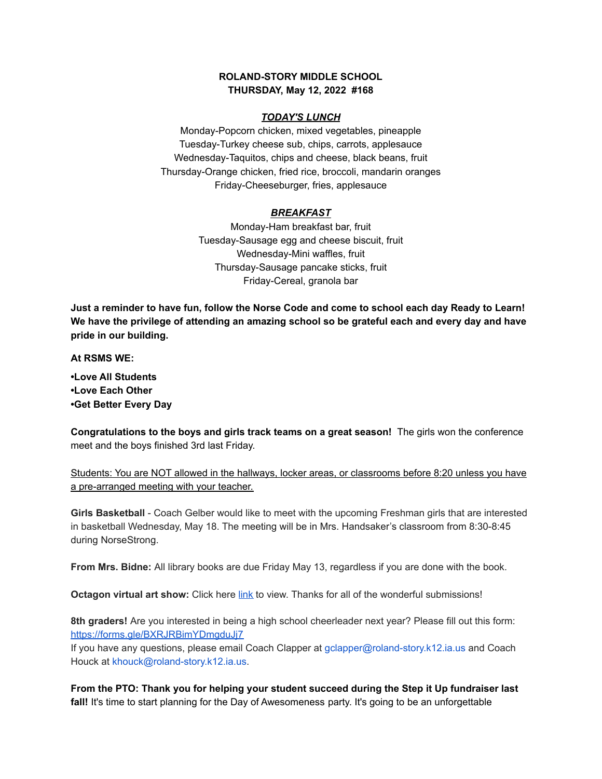## **ROLAND-STORY MIDDLE SCHOOL THURSDAY, May 12, 2022 #168**

#### *TODAY'S LUNCH*

Monday-Popcorn chicken, mixed vegetables, pineapple Tuesday-Turkey cheese sub, chips, carrots, applesauce Wednesday-Taquitos, chips and cheese, black beans, fruit Thursday-Orange chicken, fried rice, broccoli, mandarin oranges Friday-Cheeseburger, fries, applesauce

## *BREAKFAST*

Monday-Ham breakfast bar, fruit Tuesday-Sausage egg and cheese biscuit, fruit Wednesday-Mini waffles, fruit Thursday-Sausage pancake sticks, fruit Friday-Cereal, granola bar

Just a reminder to have fun, follow the Norse Code and come to school each day Ready to Learn! **We have the privilege of attending an amazing school so be grateful each and every day and have pride in our building.**

**At RSMS WE:**

**•Love All Students •Love Each Other •Get Better Every Day**

**Congratulations to the boys and girls track teams on a great season!** The girls won the conference meet and the boys finished 3rd last Friday.

Students: You are NOT allowed in the hallways, locker areas, or classrooms before 8:20 unless you have a pre-arranged meeting with your teacher.

**Girls Basketball** - Coach Gelber would like to meet with the upcoming Freshman girls that are interested in basketball Wednesday, May 18. The meeting will be in Mrs. Handsaker's classroom from 8:30-8:45 during NorseStrong.

**From Mrs. Bidne:** All library books are due Friday May 13, regardless if you are done with the book.

**Octagon virtual art show:** Click here [link](https://www.youtube.com/watch?v=l_N0KeDsDNI) to view. Thanks for all of the wonderful submissions!

**8th graders!** Are you interested in being a high school cheerleader next year? Please fill out this form[:](https://forms.gle/BXRJRBimYDmgduJj7) <https://forms.gle/BXRJRBimYDmgduJj7>

If you have any questions, please email Coach Clapper at gclapper@roland-story.k12.ia.us and Coach Houck at khouck@roland-story.k12.ia.us.

**From the PTO: Thank you for helping your student succeed during the Step it Up fundraiser last fall!** It's time to start planning for the Day of Awesomeness party. It's going to be an unforgettable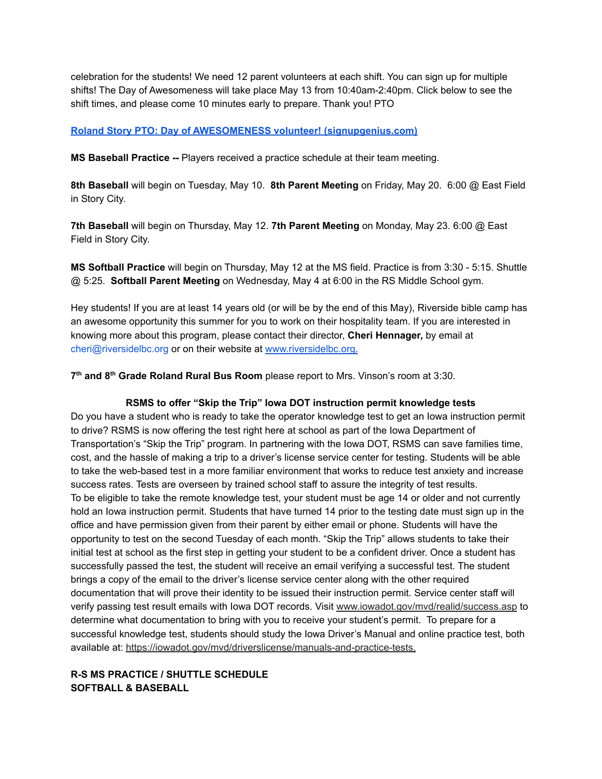celebration for the students! We need 12 parent volunteers at each shift. You can sign up for multiple shifts! The Day of Awesomeness will take place May 13 from 10:40am-2:40pm. Click below to see the shift times, and please come 10 minutes early to prepare. Thank you! PTO

# **Roland Story PTO: Day of AWESOMENESS volunteer! [\(signupgenius.com\)](https://www.signupgenius.com/go/5080f48afab2ba5f94-dayofawesomeness)**

**MS Baseball Practice --** Players received a practice schedule at their team meeting.

**8th Baseball** will begin on Tuesday, May 10. **8th Parent Meeting** on Friday, May 20. 6:00 @ East Field in Story City.

**7th Baseball** will begin on Thursday, May 12. **7th Parent Meeting** on Monday, May 23. 6:00 @ East Field in Story City.

**MS Softball Practice** will begin on Thursday, May 12 at the MS field. Practice is from 3:30 - 5:15. Shuttle @ 5:25. **Softball Parent Meeting** on Wednesday, May 4 at 6:00 in the RS Middle School gym.

Hey students! If you are at least 14 years old (or will be by the end of this May), Riverside bible camp has an awesome opportunity this summer for you to work on their hospitality team. If you are interested in knowing more about this program, please contact their director, **Cheri Hennager,** by email at cheri@riversidelbc.org or on their website at [www.riversidelbc.org.](http://www.riversidelbc.org/)

**7 th and 8 th Grade Roland Rural Bus Room** please report to Mrs. Vinson's room at 3:30.

## **RSMS to offer "Skip the Trip" Iowa DOT instruction permit knowledge tests**

Do you have a student who is ready to take the operator knowledge test to get an Iowa instruction permit to drive? RSMS is now offering the test right here at school as part of the Iowa Department of Transportation's "Skip the Trip" program. In partnering with the Iowa DOT, RSMS can save families time, cost, and the hassle of making a trip to a driver's license service center for testing. Students will be able to take the web-based test in a more familiar environment that works to reduce test anxiety and increase success rates. Tests are overseen by trained school staff to assure the integrity of test results. To be eligible to take the remote knowledge test, your student must be age 14 or older and not currently hold an Iowa instruction permit. Students that have turned 14 prior to the testing date must sign up in the office and have permission given from their parent by either email or phone. Students will have the opportunity to test on the second Tuesday of each month. "Skip the Trip" allows students to take their initial test at school as the first step in getting your student to be a confident driver. Once a student has successfully passed the test, the student will receive an email verifying a successful test. The student brings a copy of the email to the driver's license service center along with the other required documentation that will prove their identity to be issued their instruction permit. Service center staff will verify passing test result emails with Iowa DOT records. Visit [www.iowadot.gov/mvd/realid/success.asp](http://www.iowadot.gov/mvd/realid/success.asp) to determine what documentation to bring with you to receive your student's permit. To prepare for a successful knowledge test, students should study the Iowa Driver's Manual and online practice test, both available at: <https://iowadot.gov/mvd/driverslicense/manuals-and-practice-tests>.

# **R-S MS PRACTICE / SHUTTLE SCHEDULE SOFTBALL & BASEBALL**